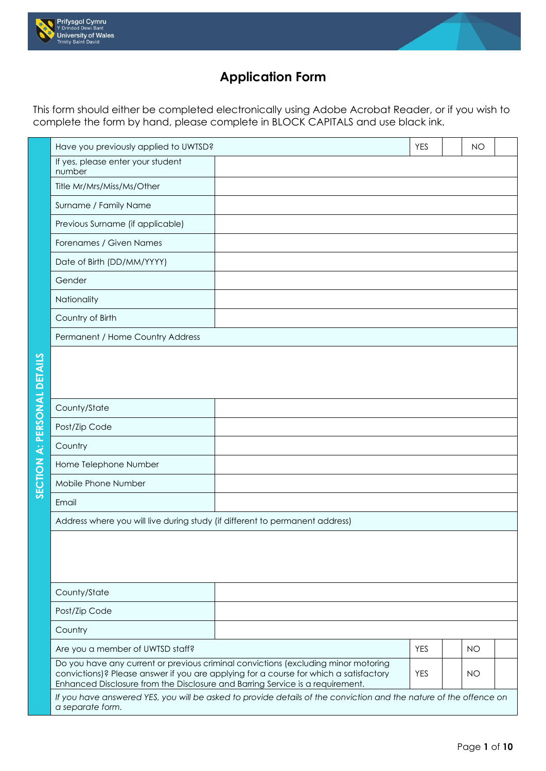



## **Application Form**

This form should either be completed electronically using Adobe Acrobat Reader, or if you wish to complete the form by hand, please complete in BLOCK CAPITALS and use black ink.

| Have you previously applied to UWTSD?                                         |                                                                                                                                                                             | <b>YES</b> | <b>NO</b> |  |
|-------------------------------------------------------------------------------|-----------------------------------------------------------------------------------------------------------------------------------------------------------------------------|------------|-----------|--|
| If yes, please enter your student<br>number                                   |                                                                                                                                                                             |            |           |  |
| Title Mr/Mrs/Miss/Ms/Other                                                    |                                                                                                                                                                             |            |           |  |
| Surname / Family Name                                                         |                                                                                                                                                                             |            |           |  |
| Previous Surname (if applicable)                                              |                                                                                                                                                                             |            |           |  |
| Forenames / Given Names                                                       |                                                                                                                                                                             |            |           |  |
| Date of Birth (DD/MM/YYYY)                                                    |                                                                                                                                                                             |            |           |  |
| Gender                                                                        |                                                                                                                                                                             |            |           |  |
| Nationality                                                                   |                                                                                                                                                                             |            |           |  |
| Country of Birth                                                              |                                                                                                                                                                             |            |           |  |
| Permanent / Home Country Address                                              |                                                                                                                                                                             |            |           |  |
|                                                                               |                                                                                                                                                                             |            |           |  |
|                                                                               |                                                                                                                                                                             |            |           |  |
|                                                                               |                                                                                                                                                                             |            |           |  |
| County/State                                                                  |                                                                                                                                                                             |            |           |  |
| Post/Zip Code                                                                 |                                                                                                                                                                             |            |           |  |
| Country                                                                       |                                                                                                                                                                             |            |           |  |
| Home Telephone Number                                                         |                                                                                                                                                                             |            |           |  |
| Mobile Phone Number                                                           |                                                                                                                                                                             |            |           |  |
| Email                                                                         |                                                                                                                                                                             |            |           |  |
| Address where you will live during study (if different to permanent address)  |                                                                                                                                                                             |            |           |  |
|                                                                               |                                                                                                                                                                             |            |           |  |
|                                                                               |                                                                                                                                                                             |            |           |  |
|                                                                               |                                                                                                                                                                             |            |           |  |
| County/State                                                                  |                                                                                                                                                                             |            |           |  |
| Post/Zip Code                                                                 |                                                                                                                                                                             |            |           |  |
| Country                                                                       |                                                                                                                                                                             |            |           |  |
| Are you a member of UWTSD staff?                                              |                                                                                                                                                                             | <b>YES</b> | <b>NO</b> |  |
| Enhanced Disclosure from the Disclosure and Barring Service is a requirement. | Do you have any current or previous criminal convictions (excluding minor motoring<br>convictions)? Please answer if you are applying for a course for which a satisfactory | <b>YES</b> | <b>NO</b> |  |
| a separate form.                                                              | If you have answered YES, you will be asked to provide details of the conviction and the nature of the offence on                                                           |            |           |  |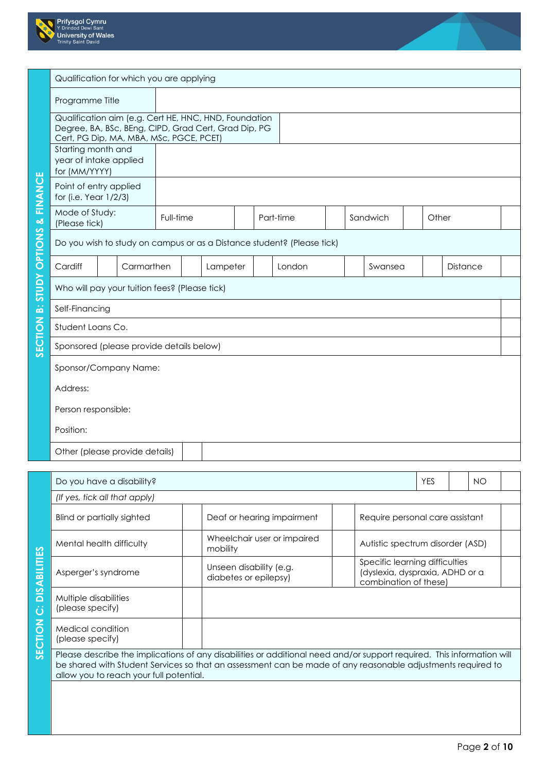



|                            | Qualification for which you are applying                                                                                                                 |            |           |          |  |                                                                        |  |          |       |                 |  |
|----------------------------|----------------------------------------------------------------------------------------------------------------------------------------------------------|------------|-----------|----------|--|------------------------------------------------------------------------|--|----------|-------|-----------------|--|
|                            | Programme Title                                                                                                                                          |            |           |          |  |                                                                        |  |          |       |                 |  |
|                            | Qualification aim (e.g. Cert HE, HNC, HND, Foundation<br>Degree, BA, BSc, BEng, CIPD, Grad Cert, Grad Dip, PG<br>Cert, PG Dip, MA, MBA, MSc, PGCE, PCET) |            |           |          |  |                                                                        |  |          |       |                 |  |
|                            | Starting month and<br>year of intake applied<br>for (MM/YYYY)                                                                                            |            |           |          |  |                                                                        |  |          |       |                 |  |
| FINANCE                    | Point of entry applied<br>for (i.e. Year 1/2/3)                                                                                                          |            |           |          |  |                                                                        |  |          |       |                 |  |
| $\infty$                   | Mode of Study:<br>(Please tick)                                                                                                                          |            | Full-time |          |  | Part-time                                                              |  | Sandwich | Other |                 |  |
| OPTIONS                    |                                                                                                                                                          |            |           |          |  | Do you wish to study on campus or as a Distance student? (Please tick) |  |          |       |                 |  |
|                            | Cardiff                                                                                                                                                  | Carmarthen |           | Lampeter |  | London                                                                 |  | Swansea  |       | <b>Distance</b> |  |
| <b><i><u>AdnlS</u></i></b> | Who will pay your tuition fees? (Please tick)                                                                                                            |            |           |          |  |                                                                        |  |          |       |                 |  |
| أفة                        | Self-Financing                                                                                                                                           |            |           |          |  |                                                                        |  |          |       |                 |  |
|                            | Student Loans Co.                                                                                                                                        |            |           |          |  |                                                                        |  |          |       |                 |  |
| SECTION                    | Sponsored (please provide details below)                                                                                                                 |            |           |          |  |                                                                        |  |          |       |                 |  |
|                            | Sponsor/Company Name:                                                                                                                                    |            |           |          |  |                                                                        |  |          |       |                 |  |
|                            | Address:                                                                                                                                                 |            |           |          |  |                                                                        |  |          |       |                 |  |
|                            | Person responsible:                                                                                                                                      |            |           |          |  |                                                                        |  |          |       |                 |  |
|                            | Position:                                                                                                                                                |            |           |          |  |                                                                        |  |          |       |                 |  |
|                            | Other (please provide details)                                                                                                                           |            |           |          |  |                                                                        |  |          |       |                 |  |

|                     | Do you have a disability?                 |                                                                                                                                                                                                                                       |                                                                                            | <b>YES</b> | NO |  |
|---------------------|-------------------------------------------|---------------------------------------------------------------------------------------------------------------------------------------------------------------------------------------------------------------------------------------|--------------------------------------------------------------------------------------------|------------|----|--|
|                     | (If yes, tick all that apply)             |                                                                                                                                                                                                                                       |                                                                                            |            |    |  |
|                     | <b>Blind or partially sighted</b>         | Deaf or hearing impairment                                                                                                                                                                                                            | Require personal care assistant                                                            |            |    |  |
|                     | Mental health difficulty                  | Wheelchair user or impaired<br>mobility                                                                                                                                                                                               | Autistic spectrum disorder (ASD)                                                           |            |    |  |
| <b>DISABILITIES</b> | Asperger's syndrome                       | Unseen disability (e.g.<br>diabetes or epilepsy)                                                                                                                                                                                      | Specific learning difficulties<br>(dyslexia, dyspraxia, ADHD or a<br>combination of these) |            |    |  |
| ن                   | Multiple disabilities<br>(please specify) |                                                                                                                                                                                                                                       |                                                                                            |            |    |  |
| SECTION             | Medical condition<br>(please specify)     |                                                                                                                                                                                                                                       |                                                                                            |            |    |  |
|                     | allow you to reach your full potential.   | Please describe the implications of any disabilities or additional need and/or support required. This information will<br>be shared with Student Services so that an assessment can be made of any reasonable adjustments required to |                                                                                            |            |    |  |
|                     |                                           |                                                                                                                                                                                                                                       |                                                                                            |            |    |  |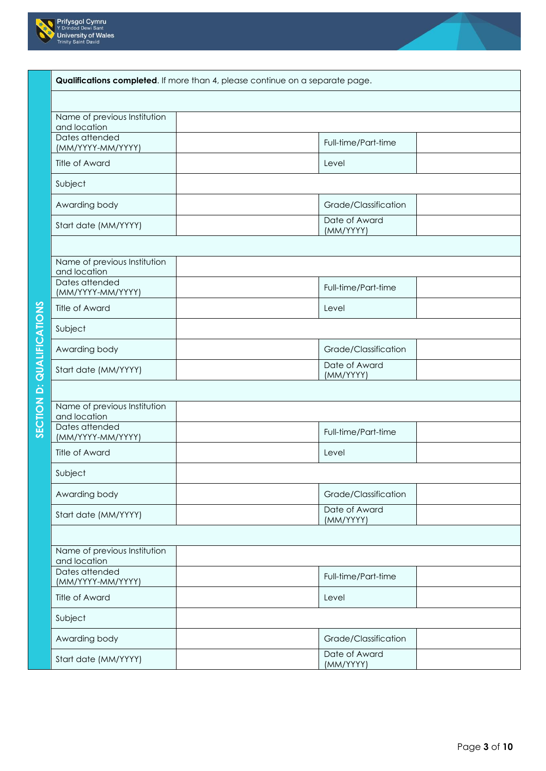

SECTION D: QUALIFICATIONS



| Qualifications completed. If more than 4, please continue on a separate page. |                            |
|-------------------------------------------------------------------------------|----------------------------|
|                                                                               |                            |
| Name of previous Institution<br>and location                                  |                            |
| Dates attended<br>(MM/YYYY-MM/YYYY)                                           | Full-time/Part-time        |
| Title of Award                                                                | Level                      |
| Subject                                                                       |                            |
| Awarding body                                                                 | Grade/Classification       |
| Start date (MM/YYYY)                                                          | Date of Award<br>(MM/YYYY) |
| Name of previous Institution                                                  |                            |
| and location                                                                  |                            |
| Dates attended<br>(MM/YYYY-MM/YYYY)                                           | Full-time/Part-time        |
| Title of Award                                                                | Level                      |
| Subject                                                                       |                            |
| Awarding body                                                                 | Grade/Classification       |
| Start date (MM/YYYY)                                                          | Date of Award<br>(MM/YYYY) |
|                                                                               |                            |
| Name of previous Institution<br>and location                                  |                            |
| Dates attended<br>(MM/YYYY-MM/YYYY)                                           | Full-time/Part-time        |
| <b>Title of Award</b>                                                         | Level                      |
| Subject                                                                       |                            |
| Awarding body                                                                 | Grade/Classification       |
| Start date (MM/YYYY)                                                          | Date of Award<br>(MM/YYYY) |
|                                                                               |                            |
| Name of previous Institution<br>and location                                  |                            |
| Dates attended<br>(MM/YYYY-MM/YYYY)                                           | Full-time/Part-time        |
| <b>Title of Award</b>                                                         | Level                      |
| Subject                                                                       |                            |
| Awarding body                                                                 | Grade/Classification       |
| Start date (MM/YYYY)                                                          | Date of Award<br>(MM/YYYY) |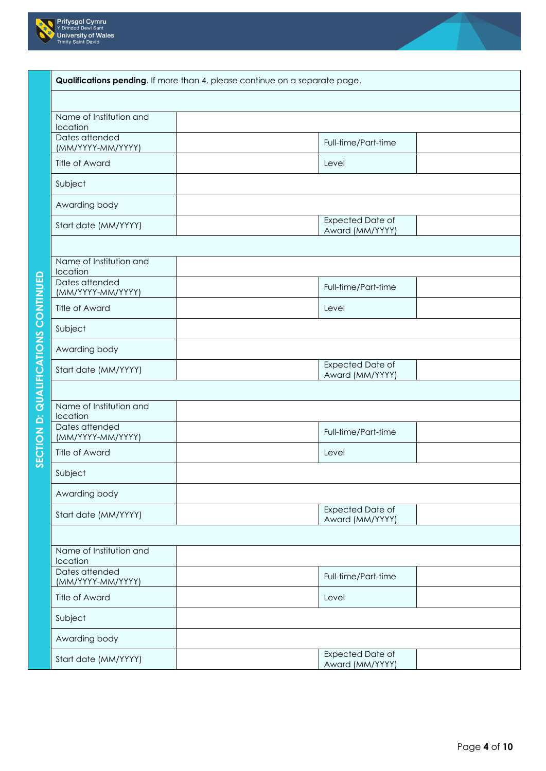



| Qualifications pending. If more than 4, please continue on a separate page. |                                            |  |
|-----------------------------------------------------------------------------|--------------------------------------------|--|
|                                                                             |                                            |  |
| Name of Institution and<br>location                                         |                                            |  |
| Dates attended<br>(MM/YYYY-MM/YYYY)                                         | Full-time/Part-time                        |  |
| Title of Award                                                              | Level                                      |  |
| Subject                                                                     |                                            |  |
| Awarding body                                                               |                                            |  |
| Start date (MM/YYYY)                                                        | <b>Expected Date of</b><br>Award (MM/YYYY) |  |
|                                                                             |                                            |  |
| Name of Institution and<br>location                                         |                                            |  |
| Dates attended<br>(MM/YYYY-MM/YYYY)                                         | Full-time/Part-time                        |  |
| <b>Title of Award</b>                                                       | Level                                      |  |
| Subject                                                                     |                                            |  |
| Awarding body                                                               |                                            |  |
| Start date (MM/YYYY)                                                        | <b>Expected Date of</b><br>Award (MM/YYYY) |  |
|                                                                             |                                            |  |
| Name of Institution and<br>location                                         |                                            |  |
| Dates attended<br>(MM/YYYY-MM/YYYY)                                         | Full-time/Part-time                        |  |
| Title of Award                                                              | Level                                      |  |
| Subject                                                                     |                                            |  |
| Awarding body                                                               |                                            |  |
| Start date (MM/YYYY)                                                        | Expected Date of<br>Award (MM/YYYY)        |  |
|                                                                             |                                            |  |
| Name of Institution and<br>location                                         |                                            |  |
| Dates attended<br>(MM/YYYY-MM/YYYY)                                         | Full-time/Part-time                        |  |
| <b>Title of Award</b>                                                       | Level                                      |  |
| Subject                                                                     |                                            |  |
| Awarding body                                                               |                                            |  |
| Start date (MM/YYYY)                                                        | Expected Date of<br>Award (MM/YYYY)        |  |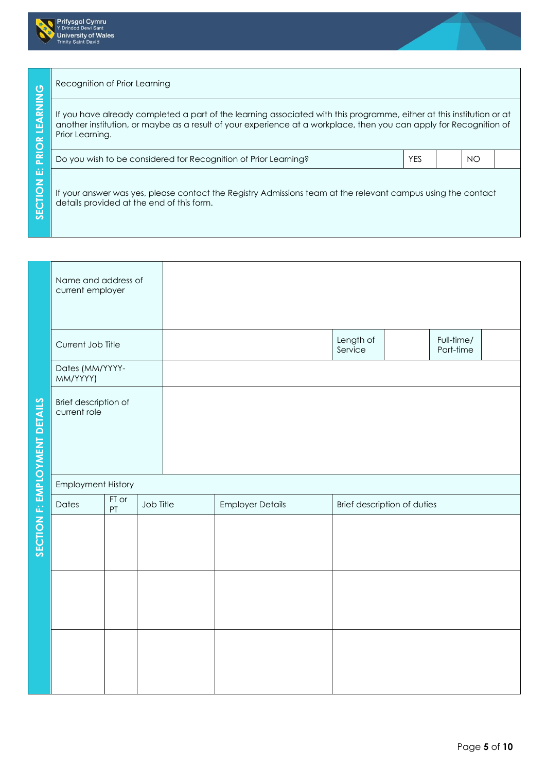



## Recognition of Prior Learning

| $\mathbf C$                                              | Recognition of Prior Learning                                                                                                                                                                                                                                  |            |     |  |
|----------------------------------------------------------|----------------------------------------------------------------------------------------------------------------------------------------------------------------------------------------------------------------------------------------------------------------|------------|-----|--|
| $\mathbf{z}$<br>LEA<br>$\sim$<br>$\overline{\mathsf{O}}$ | If you have already completed a part of the learning associated with this programme, either at this institution or at<br>another institution, or maybe as a result of your experience at a workplace, then you can apply for Recognition of<br>Prior Learning. |            |     |  |
| آھ<br>∟                                                  | Do you wish to be considered for Recognition of Prior Learning?                                                                                                                                                                                                | <b>YES</b> | NO. |  |
| Ш<br>$\mathbf{z}$<br>$\overline{\Omega}$<br><b>SECTI</b> | If your answer was yes, please contact the Registry Admissions team at the relevant campus using the contact<br>details provided at the end of this form.                                                                                                      |            |     |  |

|                               | Name and address of<br>current employer |             |           |                         |                             |                         |  |
|-------------------------------|-----------------------------------------|-------------|-----------|-------------------------|-----------------------------|-------------------------|--|
|                               | Current Job Title                       |             |           |                         | Length of<br>Service        | Full-time/<br>Part-time |  |
|                               | Dates (MM/YYYY-<br>MM/YYYY)             |             |           |                         |                             |                         |  |
| SECTION F: EMPLOYMENT DETAILS | Brief description of<br>current role    |             |           |                         |                             |                         |  |
|                               | <b>Employment History</b>               |             |           |                         |                             |                         |  |
|                               | Dates                                   | FT or<br>PT | Job Title | <b>Employer Details</b> | Brief description of duties |                         |  |
|                               |                                         |             |           |                         |                             |                         |  |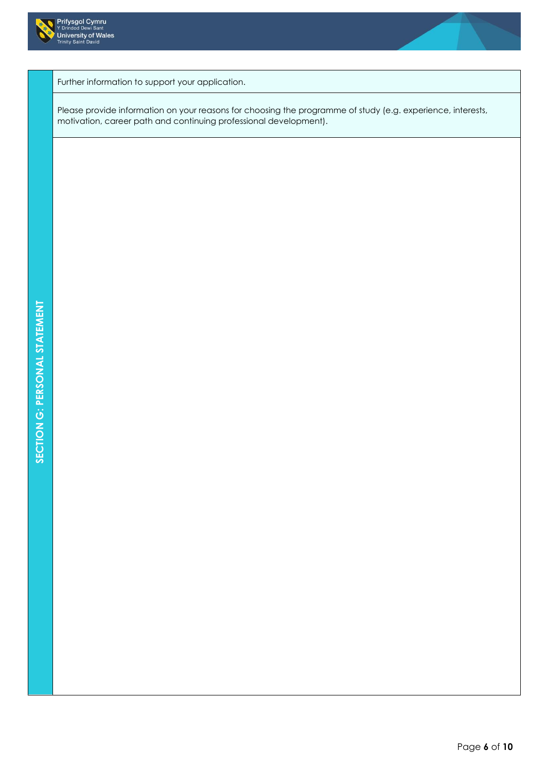



Further information to support your application.

Please provide information on your reasons for choosing the programme of study (e.g. experience, interests, motivation, career path and continuing professional development).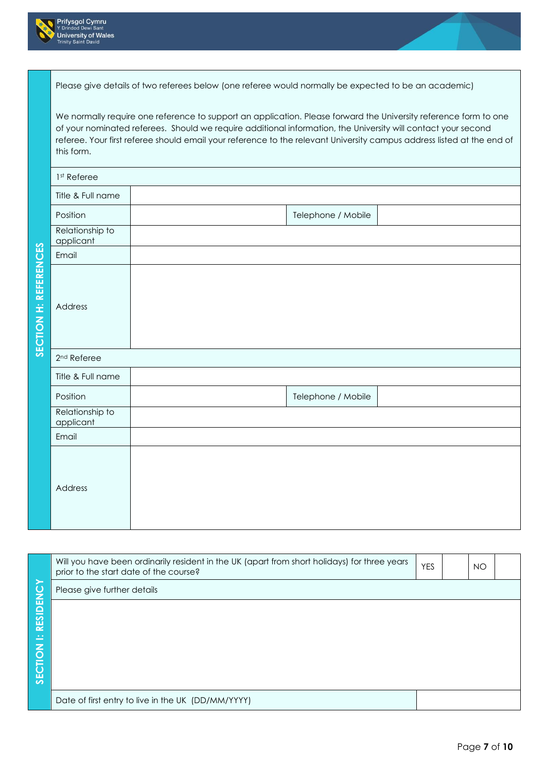

|                       |                              | Please give details of two referees below (one referee would normally be expected to be an academic)                                                                                                                                                                                                                                                        |                    |  |
|-----------------------|------------------------------|-------------------------------------------------------------------------------------------------------------------------------------------------------------------------------------------------------------------------------------------------------------------------------------------------------------------------------------------------------------|--------------------|--|
|                       | this form.                   | We normally require one reference to support an application. Please forward the University reference form to one<br>of your nominated referees. Should we require additional information, the University will contact your second<br>referee. Your first referee should email your reference to the relevant University campus address listed at the end of |                    |  |
|                       | 1 <sup>st</sup> Referee      |                                                                                                                                                                                                                                                                                                                                                             |                    |  |
|                       | Title & Full name            |                                                                                                                                                                                                                                                                                                                                                             |                    |  |
|                       | Position                     |                                                                                                                                                                                                                                                                                                                                                             | Telephone / Mobile |  |
|                       | Relationship to<br>applicant |                                                                                                                                                                                                                                                                                                                                                             |                    |  |
|                       | Email                        |                                                                                                                                                                                                                                                                                                                                                             |                    |  |
| SECTION H: REFERENCES | Address                      |                                                                                                                                                                                                                                                                                                                                                             |                    |  |
|                       | 2 <sup>nd</sup> Referee      |                                                                                                                                                                                                                                                                                                                                                             |                    |  |
|                       | Title & Full name            |                                                                                                                                                                                                                                                                                                                                                             |                    |  |
|                       | Position                     |                                                                                                                                                                                                                                                                                                                                                             | Telephone / Mobile |  |
|                       | Relationship to<br>applicant |                                                                                                                                                                                                                                                                                                                                                             |                    |  |
|                       | Email                        |                                                                                                                                                                                                                                                                                                                                                             |                    |  |
|                       | Address                      |                                                                                                                                                                                                                                                                                                                                                             |                    |  |

|                 | Will you have been ordinarily resident in the UK (apart from short holidays) for three years<br>prior to the start date of the course? | <b>YES</b> | <b>NO</b> |  |
|-----------------|----------------------------------------------------------------------------------------------------------------------------------------|------------|-----------|--|
|                 | Please give further details                                                                                                            |            |           |  |
| <b>RESIDENC</b> |                                                                                                                                        |            |           |  |
| ÷               |                                                                                                                                        |            |           |  |
|                 |                                                                                                                                        |            |           |  |
| <b>SECTION</b>  |                                                                                                                                        |            |           |  |
|                 |                                                                                                                                        |            |           |  |
|                 | Date of first entry to live in the UK (DD/MM/YYYY)                                                                                     |            |           |  |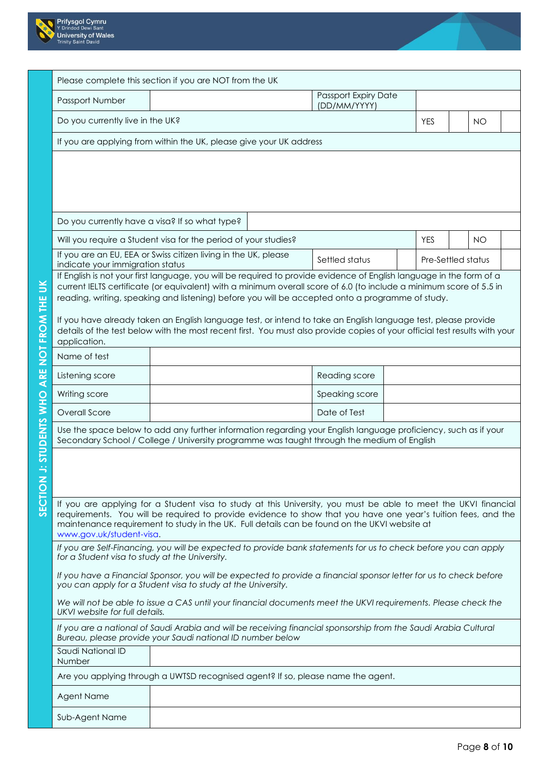



|                 |                                                | Please complete this section if you are NOT from the UK                                                                                                                                                                                     |                                             |                    |           |  |
|-----------------|------------------------------------------------|---------------------------------------------------------------------------------------------------------------------------------------------------------------------------------------------------------------------------------------------|---------------------------------------------|--------------------|-----------|--|
|                 | Passport Number                                |                                                                                                                                                                                                                                             | <b>Passport Expiry Date</b><br>(DD/MM/YYYY) |                    |           |  |
|                 | Do you currently live in the UK?               |                                                                                                                                                                                                                                             |                                             | <b>YES</b>         | <b>NO</b> |  |
|                 |                                                | If you are applying from within the UK, please give your UK address                                                                                                                                                                         |                                             |                    |           |  |
|                 |                                                |                                                                                                                                                                                                                                             |                                             |                    |           |  |
|                 |                                                |                                                                                                                                                                                                                                             |                                             |                    |           |  |
|                 |                                                |                                                                                                                                                                                                                                             |                                             |                    |           |  |
|                 | Do you currently have a visa? If so what type? |                                                                                                                                                                                                                                             |                                             |                    |           |  |
|                 |                                                | Will you require a Student visa for the period of your studies?                                                                                                                                                                             |                                             | <b>YES</b>         | <b>NO</b> |  |
|                 | indicate your immigration status               | If you are an EU, EEA or Swiss citizen living in the UK, please                                                                                                                                                                             | Settled status                              | Pre-Settled status |           |  |
|                 |                                                | If English is not your first language, you will be required to provide evidence of English language in the form of a<br>current IELTS certificate (or equivalent) with a minimum overall score of 6.0 (to include a minimum score of 5.5 in |                                             |                    |           |  |
| JK              |                                                | reading, writing, speaking and listening) before you will be accepted onto a programme of study.                                                                                                                                            |                                             |                    |           |  |
|                 |                                                | If you have already taken an English language test, or intend to take an English language test, please provide                                                                                                                              |                                             |                    |           |  |
| NOT FROM THE    | application.                                   | details of the test below with the most recent first. You must also provide copies of your official test results with your                                                                                                                  |                                             |                    |           |  |
|                 | Name of test                                   |                                                                                                                                                                                                                                             |                                             |                    |           |  |
| ARE             | Listening score                                |                                                                                                                                                                                                                                             | Reading score                               |                    |           |  |
|                 | Writing score                                  |                                                                                                                                                                                                                                             | Speaking score                              |                    |           |  |
|                 | Overall Score                                  |                                                                                                                                                                                                                                             | Date of Test                                |                    |           |  |
| J: STUDENTS WHO |                                                | Use the space below to add any further information regarding your English language proficiency, such as if your<br>Secondary School / College / University programme was taught through the medium of English                               |                                             |                    |           |  |
|                 |                                                |                                                                                                                                                                                                                                             |                                             |                    |           |  |
| $\overline{z}$  |                                                |                                                                                                                                                                                                                                             |                                             |                    |           |  |
| SECTIO          |                                                |                                                                                                                                                                                                                                             |                                             |                    |           |  |
|                 |                                                | If you are applying for a Student visa to study at this University, you must be able to meet the UKVI financial<br>requirements. You will be required to provide evidence to show that you have one year's tuition fees, and the            |                                             |                    |           |  |
|                 | www.gov.uk/student-visa.                       | maintenance requirement to study in the UK. Full details can be found on the UKVI website at                                                                                                                                                |                                             |                    |           |  |
|                 | for a Student visa to study at the University. | If you are Self-Financing, you will be expected to provide bank statements for us to check before you can apply                                                                                                                             |                                             |                    |           |  |
|                 |                                                | If you have a Financial Sponsor, you will be expected to provide a financial sponsor letter for us to check before<br>you can apply for a Student visa to study at the University.                                                          |                                             |                    |           |  |
|                 | UKVI website for full details.                 | We will not be able to issue a CAS until your financial documents meet the UKVI requirements. Please check the                                                                                                                              |                                             |                    |           |  |
|                 |                                                | If you are a national of Saudi Arabia and will be receiving financial sponsorship from the Saudi Arabia Cultural<br>Bureau, please provide your Saudi national ID number below                                                              |                                             |                    |           |  |
|                 | Saudi National ID<br>Number                    |                                                                                                                                                                                                                                             |                                             |                    |           |  |
|                 |                                                | Are you applying through a UWTSD recognised agent? If so, please name the agent.                                                                                                                                                            |                                             |                    |           |  |
|                 | Agent Name                                     |                                                                                                                                                                                                                                             |                                             |                    |           |  |
|                 | Sub-Agent Name                                 |                                                                                                                                                                                                                                             |                                             |                    |           |  |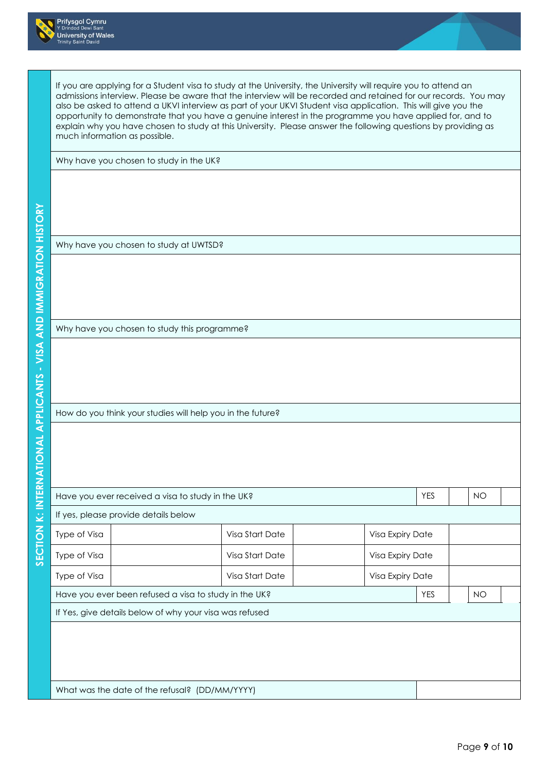



|              |                                                       | Why have you chosen to study in the UK?                    |                                |           |
|--------------|-------------------------------------------------------|------------------------------------------------------------|--------------------------------|-----------|
|              |                                                       |                                                            |                                |           |
|              | Why have you chosen to study at UWTSD?                |                                                            |                                |           |
|              |                                                       |                                                            |                                |           |
|              | Why have you chosen to study this programme?          |                                                            |                                |           |
|              |                                                       |                                                            |                                |           |
|              |                                                       | How do you think your studies will help you in the future? |                                |           |
|              | Have you ever received a visa to study in the UK?     |                                                            | <b>YES</b>                     | <b>NO</b> |
|              | If yes, please provide details below                  |                                                            |                                |           |
| Type of Visa |                                                       | Visa Start Date                                            | Visa Expiry Date               |           |
| Type of Visa |                                                       | Visa Start Date                                            | Visa Expiry Date               |           |
| Type of Visa | Have you ever been refused a visa to study in the UK? | Visa Start Date                                            | Visa Expiry Date<br><b>YES</b> | <b>NO</b> |